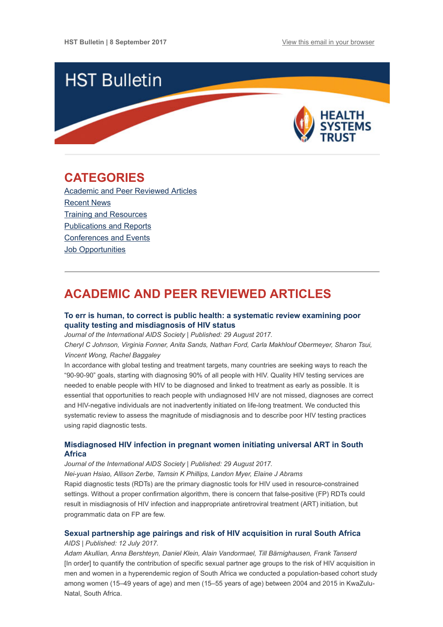

## <span id="page-0-1"></span>CATEGORIES

Academic and Peer [Reviewed](#page-0-0) Articles [Recent](#page-1-0) News Training and [Resources](#page-2-0) [Publications](#page-2-1) and Reports [Conferences](#page-3-0) and Events Job [Opportunities](#page-3-1)

# <span id="page-0-0"></span>ACADEMIC AND PEER REVIEWED ARTICLES

### To err is human, to correct is public health: a systematic review examining poor quality testing and [misdiagnosis](http://www.jiasociety.org/index.php/jias/article/view/21755/pdf) of HIV status

Journal of the International AIDS Society | Published: 29 August 2017.

Cheryl C Johnson, Virginia Fonner, Anita Sands, Nathan Ford, Carla Makhlouf Obermeyer, Sharon Tsui, Vincent Wong, Rachel Baggaley

In accordance with global testing and treatment targets, many countries are seeking ways to reach the "90-90-90" goals, starting with diagnosing 90% of all people with HIV. Quality HIV testing services are needed to enable people with HIV to be diagnosed and linked to treatment as early as possible. It is essential that opportunities to reach people with undiagnosed HIV are not missed, diagnoses are correct and HIV-negative individuals are not inadvertently initiated on life-long treatment. We conducted this systematic review to assess the magnitude of misdiagnosis and to describe poor HIV testing practices using rapid diagnostic tests.

### [Misdiagnosed](http://www.jiasociety.org/index.php/jias/article/view/21758/pdf) HIV infection in pregnant women initiating universal ART in South Africa

Journal of the International AIDS Society | Published: 29 August 2017.

Nei-yuan Hsiao, Allison Zerbe, Tamsin K Phillips, Landon Myer, Elaine J Abrams Rapid diagnostic tests (RDTs) are the primary diagnostic tools for HIV used in resource-constrained settings. Without a proper confirmation algorithm, there is concern that false-positive (FP) RDTs could result in misdiagnosis of HIV infection and inappropriate antiretroviral treatment (ART) initiation, but programmatic data on FP are few.

## Sexual [partnership](https://www.ncbi.nlm.nih.gov/pmc/articles/PMC5508850/) age pairings and risk of HIV acquisition in rural South Africa

#### AIDS | Published: 12 July 2017.

Adam Akullian, Anna Bershteyn, Daniel Klein, Alain Vandormael, Till Bärnighausen, Frank Tanserd [In order] to quantify the contribution of specific sexual partner age groups to the risk of HIV acquisition in men and women in a hyperendemic region of South Africa we conducted a population-based cohort study among women (15–49 years of age) and men (15–55 years of age) between 2004 and 2015 in KwaZulu-Natal, South Africa.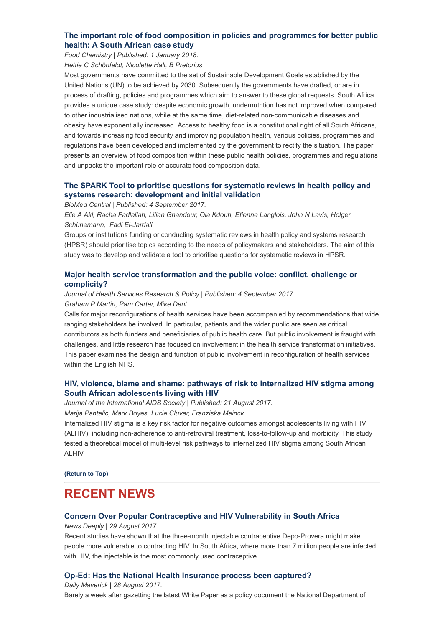## The important role of food composition in policies and [programmes](http://www.sciencedirect.com/science/article/pii/S0308814616320891?via%3Dihub) for better public health: A South African case study

Food Chemistry | Published: 1 January 2018. Hettie C Schönfeldt, Nicolette Hall, B Pretorius

Most governments have committed to the set of Sustainable Development Goals established by the United Nations (UN) to be achieved by 2030. Subsequently the governments have drafted, or are in process of drafting, policies and programmes which aim to answer to these global requests. South Africa provides a unique case study: despite economic growth, undernutrition has not improved when compared to other industrialised nations, while at the same time, diet-related non-communicable diseases and obesity have exponentially increased. Access to healthy food is a constitutional right of all South Africans, and towards increasing food security and improving population health, various policies, programmes and regulations have been developed and implemented by the government to rectify the situation. The paper presents an overview of food composition within these public health policies, programmes and regulations and unpacks the important role of accurate food composition data.

## The SPARK Tool to prioritise questions for systematic reviews in health policy and systems research: [development](https://health-policy-systems.biomedcentral.com/articles/10.1186/s12961-017-0242-4) and initial validation

BioMed Central | Published: 4 September 2017.

Elie A Akl, Racha Fadlallah, Lilian Ghandour, Ola Kdouh, Etienne Langlois, John N Lavis, Holger Schünemann, Fadi El-Jardali

Groups or institutions funding or conducting systematic reviews in health policy and systems research (HPSR) should prioritise topics according to the needs of policymakers and stakeholders. The aim of this study was to develop and validate a tool to prioritise questions for systematic reviews in HPSR.

## Major health service [transformation](http://journals.sagepub.com/doi/10.1177/1355819617728530) and the public voice: conflict, challenge or complicity?

Journal of Health Services Research & Policy | Published: 4 September 2017.

### Graham P Martin, Pam Carter, Mike Dent

Calls for major reconfigurations of health services have been accompanied by recommendations that wide ranging stakeholders be involved. In particular, patients and the wider public are seen as critical contributors as both funders and beneficiaries of public health care. But public involvement is fraught with challenges, and little research has focused on involvement in the health service transformation initiatives. This paper examines the design and function of public involvement in reconfiguration of health services within the English NHS.

## HIV, violence, blame and shame: pathways of risk to internalized HIV stigma among South African [adolescents](http://www.jiasociety.org/index.php/jias/article/view/21771/pdf) living with HIV

Journal of the International AIDS Society | Published: 21 August 2017. Marija Pantelic, Mark Boyes, Lucie Cluver, Franziska Meinck

Internalized HIV stigma is a key risk factor for negative outcomes amongst adolescents living with HIV (ALHIV), including non-adherence to anti-retroviral treatment, loss-to-follow-up and morbidity. This study tested a theoretical model of multi-level risk pathways to internalized HIV stigma among South African ALHIV.

[\(Return](#page-0-1) to Top)

## <span id="page-1-0"></span>RECENT NEWS

## Concern Over Popular [Contraceptive](https://www.newsdeeply.com/womenandgirls/articles/2017/08/29/concern-over-popular-contraceptive-and-hiv-vulnerability-in-south-africa) and HIV Vulnerability in South Africa

News Deeply | 29 August 2017.

Recent studies have shown that the three-month injectable contraceptive Depo-Provera might make people more vulnerable to contracting HIV. In South Africa, where more than 7 million people are infected with HIV, the injectable is the most commonly used contraceptive.

## Op-Ed: Has the National Health Insurance process been [captured?](https://www.dailymaverick.co.za/article/2017-08-28-op-ed-has-the-national-health-insurance-process-been-captured/#.WaU55sgjHIV)

Daily Maverick | 28 August 2017. Barely a week after gazetting the latest White Paper as a policy document the National Department of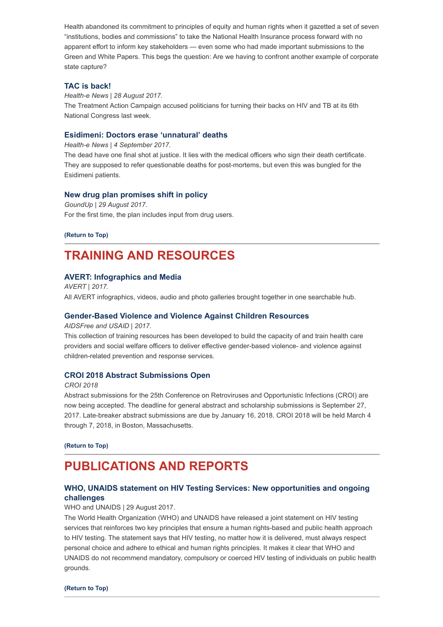Health abandoned its commitment to principles of equity and human rights when it gazetted a set of seven "institutions, bodies and commissions" to take the National Health Insurance process forward with no apparent effort to inform key stakeholders — even some who had made important submissions to the Green and White Papers. This begs the question: Are we having to confront another example of corporate state capture?

#### TAC is [back!](https://www.health-e.org.za/2017/08/28/tac-is-back/)

Health-e News | 28 August 2017. The Treatment Action Campaign accused politicians for turning their backs on HIV and TB at its 6th National Congress last week.

#### Esidimeni: Doctors erase ['unnatural'](https://www.health-e.org.za/2017/09/04/esidimeni-doctors-erase-unnatural-deaths/) deaths

Health-e News | 4 September 2017.

The dead have one final shot at justice. It lies with the medical officers who sign their death certificate. They are supposed to refer questionable deaths for post-mortems, but even this was bungled for the Esidimeni patients.

#### New drug plan [promises](https://www.groundup.org.za/article/new-drug-plan-promises-shift-policy/) shift in policy

GoundUp | 29 August 2017. For the first time, the plan includes input from drug users.

[\(Return](#page-0-1) to Top)

## <span id="page-2-0"></span>TRAINING AND RESOURCES

#### AVERT: [Infographics](https://www.avert.org/infographics) and Media

AVERT | 2017. All AVERT infographics, videos, audio and photo galleries brought together in one searchable hub.

#### [Gender-Based](https://aidsfree.usaid.gov/collections/gender-based-violence-and-violence-against-children-resources) Violence and Violence Against Children Resources

AIDSFree and USAID | 2017.

This collection of training resources has been developed to build the capacity of and train health care providers and social welfare officers to deliver effective gender-based violence- and violence against children-related prevention and response services.

#### CROI 2018 Abstract [Submissions](http://www.croiconference.org/abstract-guidelines#abstract_submission) Open

#### CROI 2018

Abstract submissions for the 25th Conference on Retroviruses and Opportunistic Infections (CROI) are now being accepted. The deadline for general abstract and scholarship submissions is September 27, 2017. Late-breaker abstract submissions are due by January 16, 2018. CROI 2018 will be held March 4 through 7, 2018, in Boston, Massachusetts.

[\(Return](#page-0-1) to Top)

## <span id="page-2-1"></span>PUBLICATIONS AND REPORTS

## WHO, UNAIDS statement on HIV Testing Services: New [opportunities](http://www.unaids.org/sites/default/files/media_asset/2017_WHO-UNAIDS_statement_HIV-testing-services_en.pdf) and ongoing challenges

WHO and UNAIDS | 29 August 2017.

The World Health Organization (WHO) and UNAIDS have released a joint statement on HIV testing services that reinforces two key principles that ensure a human rights-based and public health approach to HIV testing. The statement says that HIV testing, no matter how it is delivered, must always respect personal choice and adhere to ethical and human rights principles. It makes it clear that WHO and UNAIDS do not recommend mandatory, compulsory or coerced HIV testing of individuals on public health grounds.